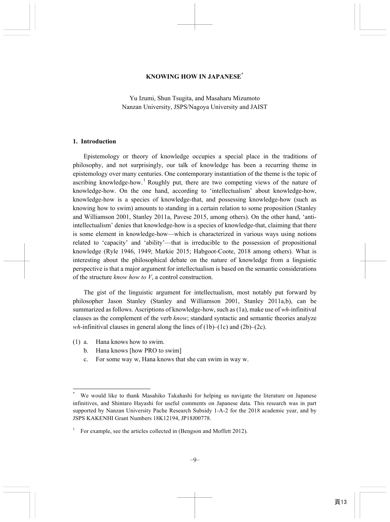### **KNOWING HOW IN JAPANESE\***

Yu Izumi, Shun Tsugita, and Masaharu Mizumoto Nanzan University, JSPS/Nagoya University and JAIST

#### **1. Introduction**

Epistemology or theory of knowledge occupies a special place in the traditions of philosophy, and not surprisingly, our talk of knowledge has been a recurring theme in epistemology over many centuries. One contemporary instantiation of the theme is the topic of ascribing knowledge-how.<sup>1</sup> Roughly put, there are two competing views of the nature of knowledge-how. On the one hand, according to 'intellectualism' about knowledge-how, knowledge-how is a species of knowledge-that, and possessing knowledge-how (such as knowing how to swim) amounts to standing in a certain relation to some proposition (Stanley and Williamson 2001, Stanley 2011a, Pavese 2015, among others). On the other hand, 'antiintellectualism' denies that knowledge-how is a species of knowledge-that, claiming that there is some element in knowledge-how—which is characterized in various ways using notions related to 'capacity' and 'ability'—that is irreducible to the possession of propositional knowledge (Ryle 1946, 1949; Markie 2015; Habgoot-Coote, 2018 among others). What is interesting about the philosophical debate on the nature of knowledge from a linguistic perspective is that a major argument for intellectualism is based on the semantic considerations of the structure *know how to V*, a control construction.

The gist of the linguistic argument for intellectualism, most notably put forward by philosopher Jason Stanley (Stanley and Williamson 2001, Stanley 2011a,b), can be summarized as follows. Ascriptions of knowledge-how, such as (1a), make use of *wh-*infinitival clauses as the complement of the verb *know*; standard syntactic and semantic theories analyze *wh*-infinitival clauses in general along the lines of  $(1b)$ – $(1c)$  and  $(2b)$ – $(2c)$ .

(1) a. Hana knows how to swim.

 $\overline{a}$ 

- b. Hana knows [how PRO to swim]
- c. For some way w, Hana knows that she can swim in way w.

<sup>\*</sup> We would like to thank Masahiko Takahashi for helping us navigate the literature on Japanese infinitives, and Shintaro Hayashi for useful comments on Japanese data. This research was in part supported by Nanzan University Pache Research Subsidy 1-A-2 for the 2018 academic year, and by JSPS KAKENHI Grant Numbers 18K12194, JP18J00778.

<sup>1</sup> For example, see the articles collected in (Bengson and Moffett 2012).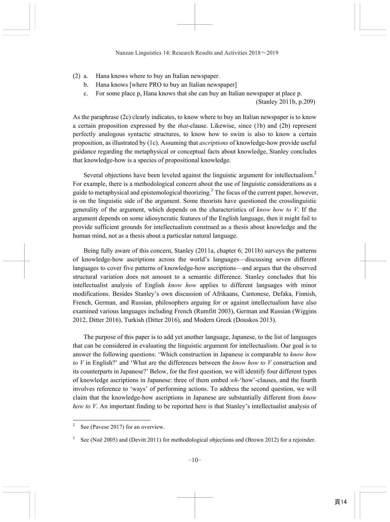- (2) a. Hana knows where to buy an Italian newspaper.
	- b. Hana knows [where PRO to buy an Italian newspaper]
	- c. For some place p, Hana knows that she can buy an Italian newspaper at place p.

(Stanley 2011b, p.209)

As the paraphrase (2c) clearly indicates, to know where to buy an Italian newspaper is to know a certain proposition expressed by the *that*-clause. Likewise, since (1b) and (2b) represent perfectly analogous syntactic structures, to know how to swim is also to know a certain proposition, as illustrated by (1c). Assuming that *ascriptions* of knowledge-how provide useful guidance regarding the metaphysical or conceptual facts about knowledge, Stanley concludes that knowledge-how is a species of propositional knowledge.

Several objections have been leveled against the linguistic argument for intellectualism.<sup>2</sup> For example, there is a methodological concern about the use of linguistic considerations as a guide to metaphysical and epistemological theorizing.<sup>3</sup> The focus of the current paper, however, is on the linguistic side of the argument. Some theorists have questioned the crosslinguistic generality of the argument, which depends on the characteristics of *know how to V*. If the argument depends on some idiosyncratic features of the English language, then it might fail to provide sufficient grounds for intellectualism construed as a thesis about knowledge and the human mind, not as a thesis about a particular natural language.

Being fully aware of this concern, Stanley (2011a, chapter 6; 2011b) surveys the patterns of knowledge-how ascriptions across the world's languages—discussing seven different languages to cover five patterns of knowledge-how ascriptions—and argues that the observed structural variation does not amount to a semantic difference. Stanley concludes that his intellectualist analysis of English *know how* applies to different languages with minor modifications. Besides Stanley's own discussion of Afrikaans, Cantonese, Defaka, Finnish, French, German, and Russian, philosophers arguing for or against intellectualism have also examined various languages including French (Rumfitt 2003), German and Russian (Wiggins 2012, Ditter 2016), Turkish (Ditter 2016), and Modern Greek (Douskos 2013).

The purpose of this paper is to add yet another language, Japanese, to the list of languages that can be considered in evaluating the linguistic argument for intellectualism. Our goal is to answer the following questions: 'Which construction in Japanese is comparable to *know how to V* in English?' and 'What are the differences between the *know how to V* construction and its counterparts in Japanese?' Below, for the first question, we will identify four different types of knowledge ascriptions in Japanese: three of them embed *wh-*'how'-clauses, and the fourth involves reference to 'ways' of performing actions. To address the second question, we will claim that the knowledge-how ascriptions in Japanese are substantially different from *know how to V*. An important finding to be reported here is that Stanley's intellectualist analysis of

j

<sup>2</sup> See (Pavese 2017) for an overview.

<sup>3</sup> See (Noë 2005) and (Devitt 2011) for methodological objections and (Brown 2012) for a rejoinder.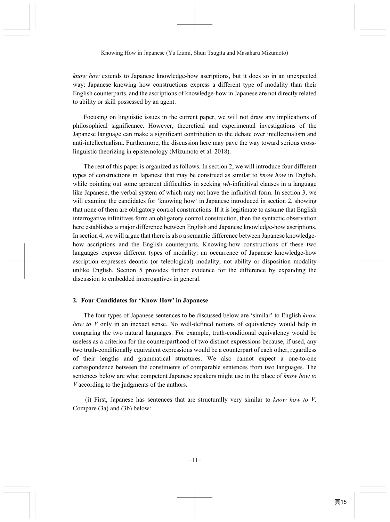*know how* extends to Japanese knowledge-how ascriptions, but it does so in an unexpected way: Japanese knowing how constructions express a different type of modality than their English counterparts, and the ascriptions of knowledge-how in Japanese are not directly related to ability or skill possessed by an agent.

Focusing on linguistic issues in the current paper, we will not draw any implications of philosophical significance. However, theoretical and experimental investigations of the Japanese language can make a significant contribution to the debate over intellectualism and anti-intellectualism. Furthermore, the discussion here may pave the way toward serious crosslinguistic theorizing in epistemology (Mizumoto et al. 2018).

The rest of this paper is organized as follows. In section 2, we will introduce four different types of constructions in Japanese that may be construed as similar to *know how* in English, while pointing out some apparent difficulties in seeking *wh*-infinitival clauses in a language like Japanese, the verbal system of which may not have the infinitival form. In section 3, we will examine the candidates for 'knowing how' in Japanese introduced in section 2, showing that none of them are obligatory control constructions. If it is legitimate to assume that English interrogative infinitives form an obligatory control construction, then the syntactic observation here establishes a major difference between English and Japanese knowledge-how ascriptions. In section 4, we will argue that there is also a semantic difference between Japanese knowledgehow ascriptions and the English counterparts. Knowing-how constructions of these two languages express different types of modality: an occurrence of Japanese knowledge-how ascription expresses deontic (or teleological) modality, not ability or disposition modality unlike English. Section 5 provides further evidence for the difference by expanding the discussion to embedded interrogatives in general.

### **2. Four Candidates for 'Know How' in Japanese**

The four types of Japanese sentences to be discussed below are 'similar' to English *know how to V* only in an inexact sense. No well-defined notions of equivalency would help in comparing the two natural languages. For example, truth-conditional equivalency would be useless as a criterion for the counterparthood of two distinct expressions because, if used, any two truth-conditionally equivalent expressions would be a counterpart of each other, regardless of their lengths and grammatical structures. We also cannot expect a one-to-one correspondence between the constituents of comparable sentences from two languages. The sentences below are what competent Japanese speakers might use in the place of *know how to V* according to the judgments of the authors.

 (i) First, Japanese has sentences that are structurally very similar to *know how to V.*  Compare (3a) and (3b) below: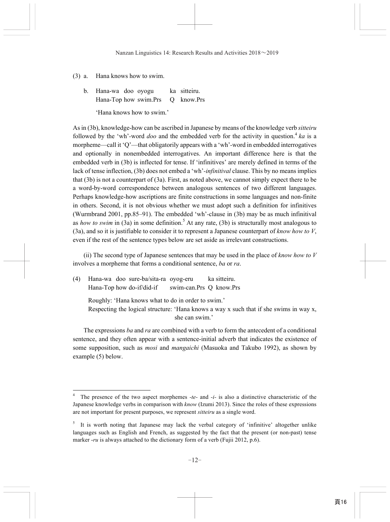(3) a. Hana knows how to swim.

b. Hana-wa doo oyogu ka sitteiru. Hana-Top how swim.Prs Q know.Prs 'Hana knows how to swim.'

As in (3b), knowledge-how can be ascribed in Japanese by means of the knowledge verb *sitteiru* followed by the 'wh'-word *doo* and the embedded verb for the activity in question.<sup>4</sup> ka is a morpheme—call it 'Q'—that obligatorily appears with a 'wh'*-*word in embedded interrogatives and optionally in nonembedded interrogatives. An important difference here is that the embedded verb in (3b) is inflected for tense. If 'infinitives' are merely defined in terms of the lack of tense inflection, (3b) does not embed a 'wh'*-infinitival* clause. This by no means implies that (3b) is not a counterpart of (3a). First, as noted above, we cannot simply expect there to be a word-by-word correspondence between analogous sentences of two different languages. Perhaps knowledge-how ascriptions are finite constructions in some languages and non-finite in others. Second, it is not obvious whether we must adopt such a definition for infinitives (Wurmbrand 2001, pp.85–91). The embedded 'wh'*-*clause in (3b) may be as much infinitival as *how to swim* in (3a) in some definition.<sup>5</sup> At any rate, (3b) is structurally most analogous to (3a), and so it is justifiable to consider it to represent a Japanese counterpart of *know how to V*, even if the rest of the sentence types below are set aside as irrelevant constructions.

(ii) The second type of Japanese sentences that may be used in the place of *know how to V* involves a morpheme that forms a conditional sentence, *ba* or *ra*.

(4) Hana-wa doo sure-ba/sita-ra oyog-eru ka sitteiru. Hana-Top how do-if/did-if swim-can.Prs Q know.Prs

j

Roughly: 'Hana knows what to do in order to swim.'

 Respecting the logical structure: 'Hana knows a way x such that if she swims in way x, she can swim.'

The expressions *ba* and *ra* are combined with a verb to form the antecedent of a conditional sentence, and they often appear with a sentence-initial adverb that indicates the existence of some supposition, such as *mosi* and *mangaichi* (Masuoka and Takubo 1992), as shown by example (5) below.

<sup>4</sup> The presence of the two aspect morphemes *-te-* and *-i-* is also a distinctive characteristic of the Japanese knowledge verbs in comparison with *know* (Izumi 2013). Since the roles of these expressions are not important for present purposes, we represent *sitteiru* as a single word.

<sup>5</sup> It is worth noting that Japanese may lack the verbal category of 'infinitive' altogether unlike languages such as English and French, as suggested by the fact that the present (or non-past) tense marker *-ru* is always attached to the dictionary form of a verb (Fujii 2012, p.6).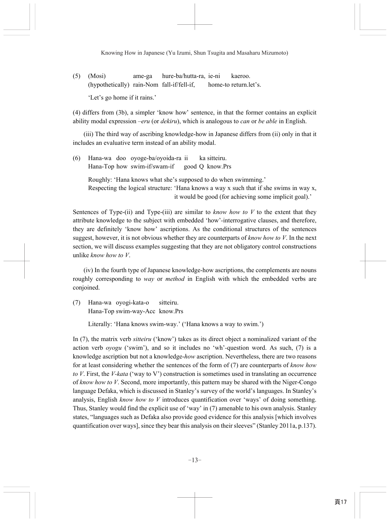(5) (Mosi) ame-ga hure-ba/hutta-ra, ie-ni kaeroo. (hypothetically) rain-Nom fall-if/fell-if, home-to return.let's. 'Let's go home if it rains.'

(4) differs from (3b), a simpler 'know how' sentence, in that the former contains an explicit ability modal expression –*eru* (or *dekiru*), which is analogous to *can* or *be able* in English.

(iii) The third way of ascribing knowledge-how in Japanese differs from (ii) only in that it includes an evaluative term instead of an ability modal.

(6) Hana-wa doo oyoge-ba/oyoida-ra ii ka sitteiru. Hana-Top how swim-if/swam-if good Q know.Prs

 Roughly: 'Hana knows what she's supposed to do when swimming.' Respecting the logical structure: 'Hana knows a way x such that if she swims in way x, it would be good (for achieving some implicit goal).'

Sentences of Type-(ii) and Type-(iii) are similar to *know how to V* to the extent that they attribute knowledge to the subject with embedded 'how'*-*interrogative clauses, and therefore, they are definitely 'know how' ascriptions. As the conditional structures of the sentences suggest, however, it is not obvious whether they are counterparts of *know how to V*. In the next section, we will discuss examples suggesting that they are not obligatory control constructions unlike *know how to V*.

(iv) In the fourth type of Japanese knowledge-how ascriptions, the complements are nouns roughly corresponding to *way* or *method* in English with which the embedded verbs are conjoined.

(7) Hana-wa oyogi-kata-o sitteiru. Hana-Top swim-way-Acc know.Prs

Literally: 'Hana knows swim-way.' ('Hana knows a way to swim.')

In (7), the matrix verb *sitteiru* ('know') takes as its direct object a nominalized variant of the action verb *oyogu* ('swim'), and so it includes no 'wh'*-*question word. As such, (7) is a knowledge ascription but not a knowledge-*how* ascription. Nevertheless, there are two reasons for at least considering whether the sentences of the form of (7) are counterparts of *know how to V*. First, the *V-kata* ('way to V') construction is sometimes used in translating an occurrence of *know how to V*. Second, more importantly, this pattern may be shared with the Niger-Congo language Defaka, which is discussed in Stanley's survey of the world's languages. In Stanley's analysis, English *know how to V* introduces quantification over 'ways' of doing something. Thus, Stanley would find the explicit use of 'way' in (7) amenable to his own analysis. Stanley states, "languages such as Defaka also provide good evidence for this analysis [which involves quantification over ways], since they bear this analysis on their sleeves" (Stanley 2011a, p.137).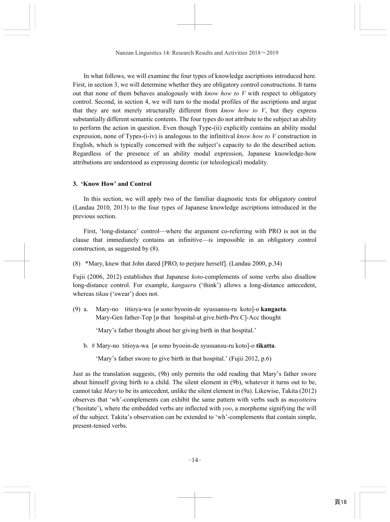In what follows, we will examine the four types of knowledge ascriptions introduced here. First, in section 3, we will determine whether they are obligatory control constructions. It turns out that none of them behaves analogously with *know how to V* with respect to obligatory control. Second, in section 4, we will turn to the modal profiles of the ascriptions and argue that they are not merely structurally different from *know how to V*, but they express substantially different semantic contents. The four types do not attribute to the subject an ability to perform the action in question. Even though Type-(ii) explicitly contains an ability modal expression, none of Types-(i-iv) is analogous to the infinitival *know how to V* construction in English, which is typically concerned with the subject's capacity to do the described action. Regardless of the presence of an ability modal expression, Japanese knowledge-how attributions are understood as expressing deontic (or teleological) modality.

## **3. 'Know How' and Control**

In this section, we will apply two of the familiar diagnostic tests for obligatory control (Landau 2010, 2013) to the four types of Japanese knowledge ascriptions introduced in the previous section.

 First, 'long-distance' control—where the argument co-referring with PRO is not in the clause that immediately contains an infinitive—is impossible in an obligatory control construction, as suggested by (8).

(8) \*Mary<sub>i</sub> knew that John dared [PRO<sub>i</sub> to perjure herself]. (Landau 2000, p.34)

Fujii (2006, 2012) establishes that Japanese *koto-*complements of some verbs also disallow long-distance control. For example, *kangaeru* ('think') allows a long-distance antecedent, whereas *tikau* ('swear') does not.

(9) a. Mary-no titioya-wa [ø sono byooin-de syussansu-ru koto]-o **kangaeta**. Mary-Gen father-Top [ø that hospital-at give.birth-Prs C]-Acc thought

'Mary's father thought about her giving birth in that hospital.'

b. # Mary-no titioya-wa [ø sono byooin-de syussansu-ru koto]-o **tikatta**.

'Mary's father swore to give birth in that hospital.' (Fujii 2012, p.6)

Just as the translation suggests, (9b) only permits the odd reading that Mary's father swore about himself giving birth to a child. The silent element in (9b), whatever it turns out to be, cannot take *Mary* to be its antecedent, unlike the silent element in (9a). Likewise, Takita (2012) observes that 'wh'*-*complements can exhibit the same pattern with verbs such as *mayotteiru* ('hesitate'), where the embedded verbs are inflected with *yoo*, a morpheme signifying the will of the subject. Takita's observation can be extended to 'wh'-complements that contain simple, present-tensed verbs.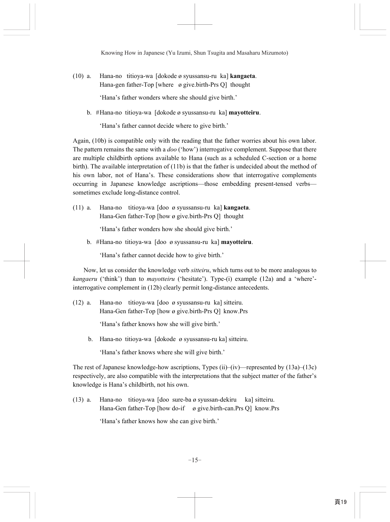(10) a. Hana-no titioya-wa [dokode ø syussansu-ru ka] **kangaeta**. Hana-gen father-Top [where ø give.birth-Prs Q] thought

'Hana's father wonders where she should give birth.'

b. # Hana-no titioya-wa [dokode ø syussansu-ru ka] **mayotteiru**.

'Hana's father cannot decide where to give birth.'

Again, (10b) is compatible only with the reading that the father worries about his own labor. The pattern remains the same with a *doo* ('how') interrogative complement. Suppose that there are multiple childbirth options available to Hana (such as a scheduled C-section or a home birth). The available interpretation of (11b) is that the father is undecided about the method of his own labor, not of Hana's. These considerations show that interrogative complements occurring in Japanese knowledge ascriptions—those embedding present-tensed verbs sometimes exclude long-distance control.

(11) a. Hana-no titioya-wa [doo ø syussansu-ru ka] **kangaeta**. Hana-Gen father-Top [how ø give.birth-Prs Q] thought

'Hana's father wonders how she should give birth.'

b. # Hana-no titioya-wa [doo ø syussansu-ru ka] **mayotteiru**.

'Hana's father cannot decide how to give birth.'

 Now, let us consider the knowledge verb *sitteiru*, which turns out to be more analogous to *kangaeru* ('think') than to *mayotteiru* ('hesitate'). Type-(i) example (12a) and a 'where' interrogative complement in (12b) clearly permit long-distance antecedents.

(12) a. Hana-no titioya-wa [doo ø syussansu-ru ka] sitteiru. Hana-Gen father-Top [how ø give.birth-Prs Q] know.Prs

'Hana's father knows how she will give birth.'

b. Hana-no titioya-wa [dokode ø syussansu-ru ka] sitteiru.

'Hana's father knows where she will give birth.'

The rest of Japanese knowledge-how ascriptions, Types (ii)–(iv)—represented by  $(13a)$ – $(13c)$ respectively, are also compatible with the interpretations that the subject matter of the father's knowledge is Hana's childbirth, not his own.

(13) a. Hana-no titioya-wa [doo sure-ba ø syussan-dekiru ka] sitteiru. Hana-Gen father-Top [how do-if ø give.birth-can.Prs Q] know.Prs

'Hana's father knows how she can give birth.'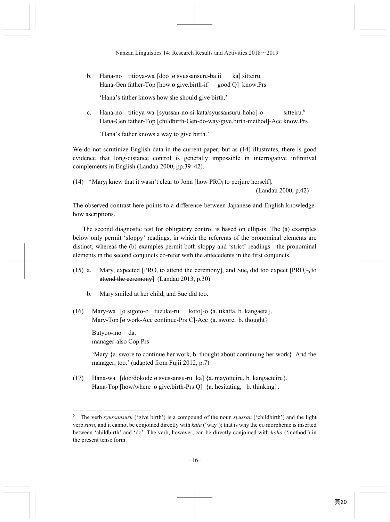b. Hana-no titioya-wa [doo ø syussansure-ba ii ka] sitteiru. Hana-Gen father-Top [how ø give.birth-if good O] know.Prs

'Hana's father knows how she should give birth.'

c. Hana-no titiova-wa [svussan-no-si-kata/svussansuru-hoho]-o sitteiru.<sup>6</sup> Hana-Gen father-Top [childbirth-Gen-do-way/give.birth-method]-Acc know.Prs

'Hana's father knows a way to give birth.'

We do not scrutinize English data in the current paper, but as  $(14)$  illustrates, there is good evidence that long-distance control is generally impossible in interrogative infinitival complements in English (Landau 2000, pp.39–42).

(14) \*Mary<sub>i</sub> knew that it wasn't clear to John [how PRO<sub>i</sub> to perjure herself].

(Landau 2000, p.42)

The observed contrast here points to a difference between Japanese and English knowledgehow ascriptions.

The second diagnostic test for obligatory control is based on ellipsis. The (a) examples below only permit 'sloppy' readings, in which the referents of the pronominal elements are distinct, whereas the (b) examples permit both sloppy and 'strict' readings—the pronominal elements in the second conjuncts co-refer with the antecedents in the first conjuncts.

- (15) a. Mary<sub>i</sub> expected [PRO<sub>i</sub> to attend the ceremony], and Sue<sub>i</sub> did too expect [PRO<sub>i/\*i</sub> to attend the ceremony] (Landau 2013, p.30)
	- b. Mary smiled at her child, and Sue did too.
- (16) Mary-wa [ø sigoto-o tuzuke-ru koto]-o {a. tikatta, b. kangaeta}. Mary-Top [ø work-Acc continue-Prs C]-Acc {a. swore, b. thought}

 Butyoo-mo da. manager-also Cop.Prs

 $\overline{\phantom{0}}$ 

 'Mary {a. swore to continue her work, b. thought about continuing her work}. And the manager, too.' (adapted from Fujii 2012, p.7)

(17) Hana-wa [doo/dokode ø syussansu-ru ka] {a. mayotteiru, b. kangaeteiru}. Hana-Top [how/where ø give.birth-Prs Q] {a. hesitating, b. thinking}.

<sup>6</sup> The verb *syussansuru* ('give birth') is a compound of the noun *syussan* ('childbirth') and the light verb *suru*, and it cannot be conjoined directly with *kata* ('way'); that is why the *no* morpheme is inserted between 'childbirth' and 'do'. The verb, however, can be directly conjoined with *hoho* ('method') in the present tense form.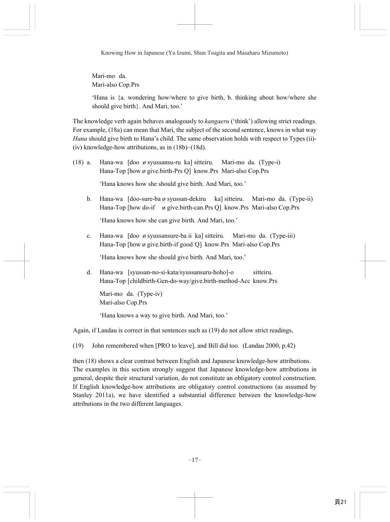Mari-mo da. Mari-also Cop.Prs

 'Hana is {a. wondering how/where to give birth, b. thinking about how/where she should give birth}. And Mari, too.'

The knowledge verb again behaves analogously to *kangaeru* ('think') allowing strict readings. For example, (18a) can mean that Mari, the subject of the second sentence, knows in what way *Hana* should give birth to Hana's child. The same observation holds with respect to Types (ii)- (iv) knowledge-how attributions, as in (18b)–(18d).

- (18) a. Hana-wa [doo ø syussansu-ru ka] sitteiru. Mari-mo da. (Type-i) Hana-Top [how ø give.birth-Prs Q] know.Prs Mari-also Cop.Prs 'Hana knows how she should give birth. And Mari, too.'
	- b. Hana-wa [doo-sure-ba ø syussan-dekiru ka] sitteiru. Mari-mo da. (Type-ii) Hana-Top [how do-if ø give.birth-can.Prs Q] know.Prs Mari-also Cop.Prs 'Hana knows how she can give birth. And Mari, too.'
	- c. Hana-wa [doo ø syussansure-ba ii ka] sitteiru. Mari-mo da. (Type-iii) Hana-Top [how ø give.birth-if good Q] know.Prs Mari-also Cop.Prs 'Hana knows how she should give birth. And Mari, too.'
	- d. Hana-wa [syussan-no-si-kata/syussansuru-hoho]-o sitteiru. Hana-Top [childbirth-Gen-do-way/give.birth-method-Acc know.Prs

 Mari-mo da. (Type-iv) Mari-also Cop.Prs

'Hana knows a way to give birth. And Mari, too.'

Again, if Landau is correct in that sentences such as (19) do not allow strict readings,

(19) John remembered when [PRO to leave], and Bill did too. (Landau 2000, p.42)

then (18) shows a clear contrast between English and Japanese knowledge-how attributions. The examples in this section strongly suggest that Japanese knowledge-how attributions in general, despite their structural variation, do not constitute an obligatory control construction. If English knowledge-how attributions are obligatory control constructions (as assumed by Stanley 2011a), we have identified a substantial difference between the knowledge-how attributions in the two different languages.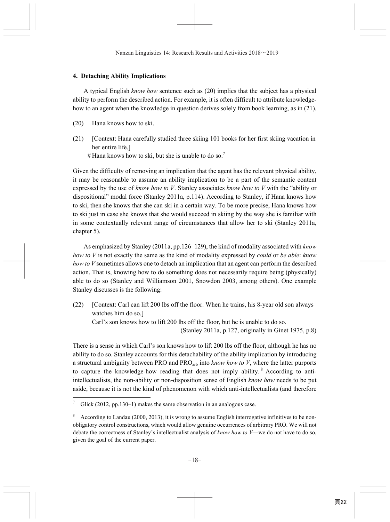## **4. Detaching Ability Implications**

A typical English *know how* sentence such as (20) implies that the subject has a physical ability to perform the described action. For example, it is often difficult to attribute knowledgehow to an agent when the knowledge in question derives solely from book learning, as in (21).

- (20) Hana knows how to ski.
- (21) [Context: Hana carefully studied three skiing 101 books for her first skiing vacation in her entire life.]
	- $#$  Hana knows how to ski, but she is unable to do so.<sup>7</sup>

Given the difficulty of removing an implication that the agent has the relevant physical ability, it may be reasonable to assume an ability implication to be a part of the semantic content expressed by the use of *know how to V*. Stanley associates *know how to V* with the "ability or dispositional" modal force (Stanley 2011a, p.114). According to Stanley, if Hana knows how to ski, then she knows that she can ski in a certain way. To be more precise, Hana knows how to ski just in case she knows that she would succeed in skiing by the way she is familiar with in some contextually relevant range of circumstances that allow her to ski (Stanley 2011a, chapter 5).

As emphasized by Stanley (2011a, pp.126–129), the kind of modality associated with *know how to V* is not exactly the same as the kind of modality expressed by *could* or *be able*: *know how to V* sometimes allows one to detach an implication that an agent can perform the described action. That is, knowing how to do something does not necessarily require being (physically) able to do so (Stanley and Williamson 2001, Snowdon 2003, among others). One example Stanley discusses is the following:

(22) [Context: Carl can lift 200 lbs off the floor. When he trains, his 8-year old son always watches him do so.] Carl's son knows how to lift 200 lbs off the floor, but he is unable to do so.

(Stanley 2011a, p.127, originally in Ginet 1975, p.8)

There is a sense in which Carl's son knows how to lift 200 lbs off the floor, although he has no ability to do so. Stanley accounts for this detachability of the ability implication by introducing a structural ambiguity between PRO and PROarb into *know how to V*, where the latter purports to capture the knowledge-how reading that does not imply ability.<sup>8</sup> According to antiintellectualists, the non-ability or non-disposition sense of English *know how* needs to be put aside, because it is not the kind of phenomenon with which anti-intellectualists (and therefore

 $\overline{\phantom{0}}$ 

<sup>7</sup> Glick (2012, pp.130–1) makes the same observation in an analogous case.

<sup>8</sup> According to Landau (2000, 2013), it is wrong to assume English interrogative infinitives to be nonobligatory control constructions, which would allow genuine occurrences of arbitrary PRO. We will not debate the correctness of Stanley's intellectualist analysis of *know how to V*—we do not have to do so, given the goal of the current paper.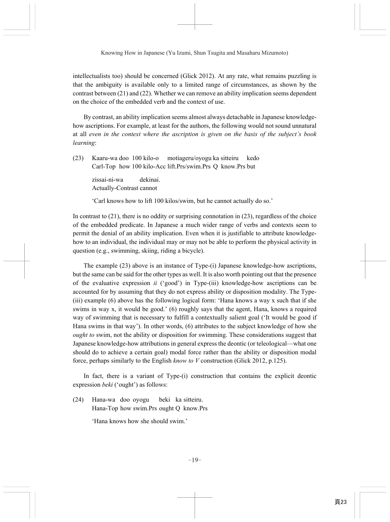intellectualists too) should be concerned (Glick 2012). At any rate, what remains puzzling is that the ambiguity is available only to a limited range of circumstances, as shown by the contrast between (21) and (22). Whether we can remove an ability implication seems dependent on the choice of the embedded verb and the context of use.

By contrast, an ability implication seems almost always detachable in Japanese knowledgehow ascriptions. For example, at least for the authors, the following would not sound unnatural at all *even in the context where the ascription is given on the basis of the subject's book learning*:

(23) Kaaru-wa doo 100 kilo-o motiageru/oyogu ka sitteiru kedo Carl-Top how 100 kilo-Acc lift.Prs/swim.Prs Q know.Prs but

> zissai-ni-wa dekinai. Actually-Contrast cannot

'Carl knows how to lift 100 kilos/swim, but he cannot actually do so.'

In contrast to (21), there is no oddity or surprising connotation in (23), regardless of the choice of the embedded predicate. In Japanese a much wider range of verbs and contexts seem to permit the denial of an ability implication. Even when it is justifiable to attribute knowledgehow to an individual, the individual may or may not be able to perform the physical activity in question (e.g., swimming, skiing, riding a bicycle).

The example (23) above is an instance of Type-(i) Japanese knowledge-how ascriptions, but the same can be said for the other types as well. It is also worth pointing out that the presence of the evaluative expression *ii* ('good') in Type-(iii) knowledge-how ascriptions can be accounted for by assuming that they do not express ability or disposition modality. The Type- (iii) example (6) above has the following logical form: 'Hana knows a way x such that if she swims in way x, it would be good.' (6) roughly says that the agent, Hana, knows a required way of swimming that is necessary to fulfill a contextually salient goal ('It would be good if Hana swims in that way'). In other words, (6) attributes to the subject knowledge of how she *ought to* swim, not the ability or disposition for swimming. These considerations suggest that Japanese knowledge-how attributions in general express the deontic (or teleological—what one should do to achieve a certain goal) modal force rather than the ability or disposition modal force, perhaps similarly to the English *know to V* construction (Glick 2012, p.125).

In fact, there is a variant of Type-(i) construction that contains the explicit deontic expression *beki* ('ought') as follows:

(24) Hana-wa doo oyogu beki ka sitteiru. Hana-Top how swim.Prs ought Q know.Prs

'Hana knows how she should swim.'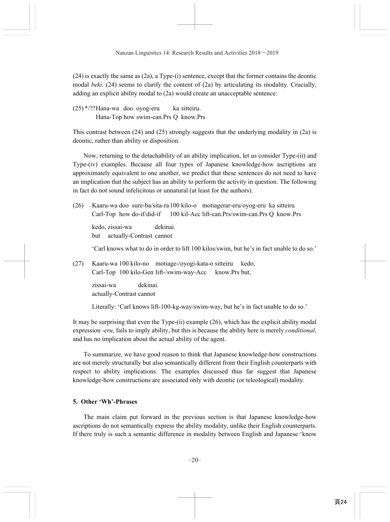(24) is exactly the same as (2a), a Type-(i) sentence, except that the former contains the deontic modal *beki*. (24) seems to clarify the content of (2a) by articulating its modality. Crucially, adding an explicit ability modal to (2a) would create an unacceptable sentence:

 $(25)$  \*/?? Hana-wa doo oyog-eru ka sitteiru. Hana-Top how swim-can.Prs Q know.Prs

This contrast between (24) and (25) strongly suggests that the underlying modality in (2a) is deontic, rather than ability or disposition.

Now, returning to the detachability of an ability implication, let us consider Type-(ii) and Type-(iv) examples. Because all four types of Japanese knowledge-how ascriptions are approximately equivalent to one another, we predict that these sentences do not need to have an implication that the subject has an ability to perform the activity in question. The following in fact do not sound infelicitous or unnatural (at least for the authors).

(26) Kaaru-wa doo sure-ba/sita-ra 100 kilo-o motiagerar-eru/oyog-eru ka sitteiru Carl-Top how do-if/did-if 100 kil-Acc lift-can.Prs/swim-can.Prs Q know.Prs

 kedo, zissai-wa dekinai. but actually-Contrast cannot

'Carl knows what to do in order to lift 100 kilos/swim, but he's in fact unable to do so.'

(27) Kaaru-wa 100 kilo-no motiage-/oyogi-kata-o sitteiru kedo, Carl-Top 100 kilo-Gen lift-/swim-way-Acc know.Prs but,

> zissai-wa dekinai. actually-Contrast cannot

Literally: 'Carl knows lift-100-kg-way/swim-way, but he's in fact unable to do so.'

It may be surprising that even the Type-(ii) example (26), which has the explicit ability modal expression -*eru*, fails to imply ability, but this is because the ability here is merely *conditional*, and has no implication about the actual ability of the agent.

To summarize, we have good reason to think that Japanese knowledge-how constructions are not merely structurally but also semantically different from their English counterparts with respect to ability implications. The examples discussed thus far suggest that Japanese knowledge-how constructions are associated only with deontic (or teleological) modality.

# **5. Other 'Wh'***-***Phrases**

The main claim put forward in the previous section is that Japanese knowledge-how ascriptions do not semantically express the ability modality, unlike their English counterparts. If there truly is such a semantic difference in modality between English and Japanese 'know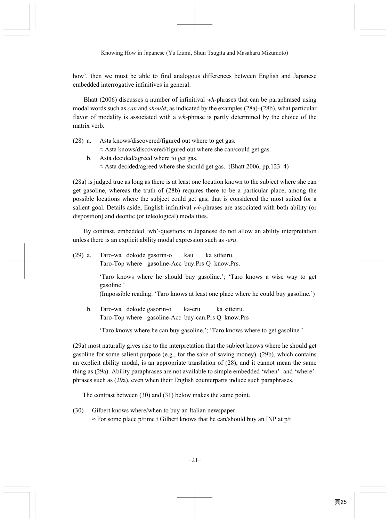how', then we must be able to find analogous differences between English and Japanese embedded interrogative infinitives in general.

Bhatt (2006) discusses a number of infinitival *wh-*phrases that can be paraphrased using modal words such as *can* and *should*; as indicated by the examples (28a)–(28b), what particular flavor of modality is associated with a *wh-*phrase is partly determined by the choice of the matrix verb.

(28) a. Asta knows/discovered/figured out where to get gas.

 $\approx$  Asta knows/discovered/figured out where she can/could get gas.

 b. Asta decided/agreed where to get gas.  $\approx$  Asta decided/agreed where she should get gas. (Bhatt 2006, pp.123–4)

(28a) is judged true as long as there is at least one location known to the subject where she can get gasoline, whereas the truth of (28b) requires there to be a particular place, among the possible locations where the subject could get gas, that is considered the most suited for a salient goal. Details aside, English infinitival *wh-*phrases are associated with both ability (or disposition) and deontic (or teleological) modalities.

By contrast, embedded 'wh'*-*questions in Japanese do not allow an ability interpretation unless there is an explicit ability modal expression such as -*eru*.

(29) a. Taro-wa dokode gasorin-o kau ka sitteiru. Taro-Top where gasoline-Acc buy.Prs Q know.Prs.

> 'Taro knows where he should buy gasoline.'; 'Taro knows a wise way to get gasoline.'

> (Impossible reading: 'Taro knows at least one place where he could buy gasoline.')

 b. Taro-wa dokode gasorin-o ka-eru ka sitteiru. Taro-Top where gasoline-Acc buy-can.Prs Q know.Prs

'Taro knows where he can buy gasoline.'; 'Taro knows where to get gasoline.'

(29a) most naturally gives rise to the interpretation that the subject knows where he should get gasoline for some salient purpose (e.g., for the sake of saving money). (29b), which contains an explicit ability modal, is an appropriate translation of (28), and it cannot mean the same thing as (29a). Ability paraphrases are not available to simple embedded 'when'- and 'where' phrases such as (29a), even when their English counterparts induce such paraphrases.

The contrast between (30) and (31) below makes the same point.

(30) Gilbert knows where/when to buy an Italian newspaper.  $\approx$  For some place p/time t Gilbert knows that he can/should buy an INP at p/t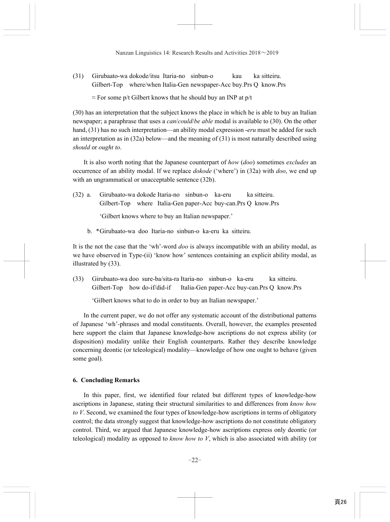$(31)$  Girubaato-wa dokode/itsu Itaria-no sinbun-o kau Gilbert-Top where/when Italia-Gen newspaper-Acc buy.Prs Q know.Prs ka sitteiru

 $\approx$  For some p/t Gilbert knows that he should buy an INP at p/t

(30) has an interpretation that the subject knows the place in which he is able to buy an Italian newspaper; a paraphrase that uses a *can*/*could*/*be able* modal is available to (30). On the other hand, (31) has no such interpretation—an ability modal expression -*eru* must be added for such an interpretation as in (32a) below—and the meaning of (31) is most naturally described using *should* or *ought to*.

It is also worth noting that the Japanese counterpart of *how* (*doo*) sometimes *excludes* an occurrence of an ability modal. If we replace *dokode* ('where') in (32a) with *doo*, we end up with an ungrammatical or unacceptable sentence (32b).

(32) a. Girubaato-wa dokode Itaria-no sinbun-o ka-eru Gilbert-Top where Italia-Gen paper-Acc buy-can.Prs Q know.Prs ka sitteiru.

'Gilbert knows where to buy an Italian newspaper.'

b. \* Girubaato-wa doo Itaria-no sinbun-o ka-eru ka sitteiru.

It is the not the case that the 'wh'*-*word *doo* is always incompatible with an ability modal, as we have observed in Type-(ii) 'know how' sentences containing an explicit ability modal, as illustrated by (33).

(33) Girubaato-wa doo sure-ba/sita-ra Itaria-no sinbun-o ka-eru ka sitteiru. Gilbert-Top how do-if/did-if Italia-Gen paper-Acc buy-can.Prs Q know.Prs

'Gilbert knows what to do in order to buy an Italian newspaper.'

In the current paper, we do not offer any systematic account of the distributional patterns of Japanese 'wh'*-*phrases and modal constituents. Overall, however, the examples presented here support the claim that Japanese knowledge-how ascriptions do not express ability (or disposition) modality unlike their English counterparts. Rather they describe knowledge concerning deontic (or teleological) modality—knowledge of how one ought to behave (given some goal).

### **6. Concluding Remarks**

In this paper, first, we identified four related but different types of knowledge-how ascriptions in Japanese, stating their structural similarities to and differences from *know how to V*. Second, we examined the four types of knowledge-how ascriptions in terms of obligatory control; the data strongly suggest that knowledge-how ascriptions do not constitute obligatory control. Third, we argued that Japanese knowledge-how ascriptions express only deontic (or teleological) modality as opposed to *know how to V*, which is also associated with ability (or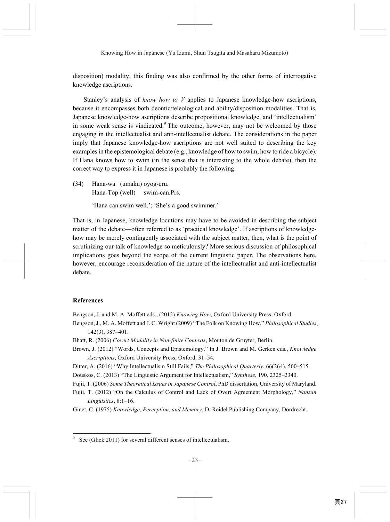disposition) modality; this finding was also confirmed by the other forms of interrogative knowledge ascriptions.

Stanley's analysis of *know how to V* applies to Japanese knowledge-how ascriptions, because it encompasses both deontic/teleological and ability/disposition modalities. That is, Japanese knowledge-how ascriptions describe propositional knowledge, and 'intellectualism' in some weak sense is vindicated.<sup>9</sup> The outcome, however, may not be welcomed by those engaging in the intellectualist and anti-intellectualist debate. The considerations in the paper imply that Japanese knowledge-how ascriptions are not well suited to describing the key examples in the epistemological debate (e.g., knowledge of how to swim, how to ride a bicycle). If Hana knows how to swim (in the sense that is interesting to the whole debate), then the correct way to express it in Japanese is probably the following:

(34) Hana-wa (umaku) oyog-eru. Hana-Top (well) swim-can.Prs.

'Hana can swim well.'; 'She's a good swimmer.'

That is, in Japanese, knowledge locutions may have to be avoided in describing the subject matter of the debate—often referred to as 'practical knowledge'. If ascriptions of knowledgehow may be merely contingently associated with the subject matter, then, what is the point of scrutinizing our talk of knowledge so meticulously? More serious discussion of philosophical implications goes beyond the scope of the current linguistic paper. The observations here, however, encourage reconsideration of the nature of the intellectualist and anti-intellectualist debate.

### **References**

 $\overline{a}$ 

Bengson, J. and M. A. Moffett eds., (2012) *Knowing How*, Oxford University Press, Oxford.

- Bengson, J., M. A. Moffett and J. C. Wright (2009) "The Folk on Knowing How," *Philosophical Studies*, 142(3), 387–401.
- Bhatt, R. (2006) *Covert Modality in Non-finite Contexts*, Mouton de Gruyter, Berlin.
- Brown, J. (2012) "Words, Concepts and Epistemology." In J. Brown and M. Gerken eds., *Knowledge Ascriptions*, Oxford University Press, Oxford, 31–54.

Ditter, A. (2016) "Why Intellectualism Still Fails," *The Philosophical Quarterly*, 66(264), 500–515.

Douskos, C. (2013) "The Linguistic Argument for Intellectualism," *Synthese*, 190, 2325–2340.

Fujii, T. (2006) *Some Theoretical Issues in Japanese Control*, PhD dissertation, University of Maryland.

Fujii, T. (2012) "On the Calculus of Control and Lack of Overt Agreement Morphology," *Nanzan Linguistics*, 8:1–16.

Ginet, C. (1975) *Knowledge, Perception, and Memory*, D. Reidel Publishing Company, Dordrecht.

<sup>9</sup> See (Glick 2011) for several different senses of intellectualism.